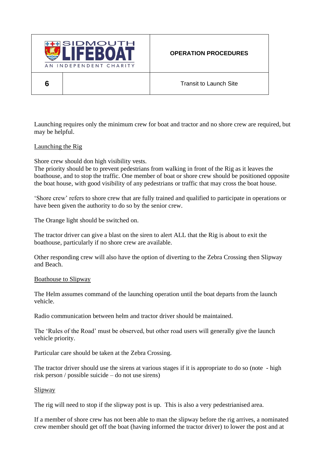

**6** Transit to Launch Site

Launching requires only the minimum crew for boat and tractor and no shore crew are required, but may be helpful.

## Launching the Rig

Shore crew should don high visibility vests.

The priority should be to prevent pedestrians from walking in front of the Rig as it leaves the boathouse, and to stop the traffic. One member of boat or shore crew should be positioned opposite the boat house, with good visibility of any pedestrians or traffic that may cross the boat house.

'Shore crew' refers to shore crew that are fully trained and qualified to participate in operations or have been given the authority to do so by the senior crew.

The Orange light should be switched on.

The tractor driver can give a blast on the siren to alert ALL that the Rig is about to exit the boathouse, particularly if no shore crew are available.

Other responding crew will also have the option of diverting to the Zebra Crossing then Slipway and Beach.

## Boathouse to Slipway

The Helm assumes command of the launching operation until the boat departs from the launch vehicle.

Radio communication between helm and tractor driver should be maintained.

The 'Rules of the Road' must be observed, but other road users will generally give the launch vehicle priority.

Particular care should be taken at the Zebra Crossing.

The tractor driver should use the sirens at various stages if it is appropriate to do so (note - high risk person / possible suicide – do not use sirens)

## Slipway

The rig will need to stop if the slipway post is up. This is also a very pedestrianised area.

If a member of shore crew has not been able to man the slipway before the rig arrives, a nominated crew member should get off the boat (having informed the tractor driver) to lower the post and at